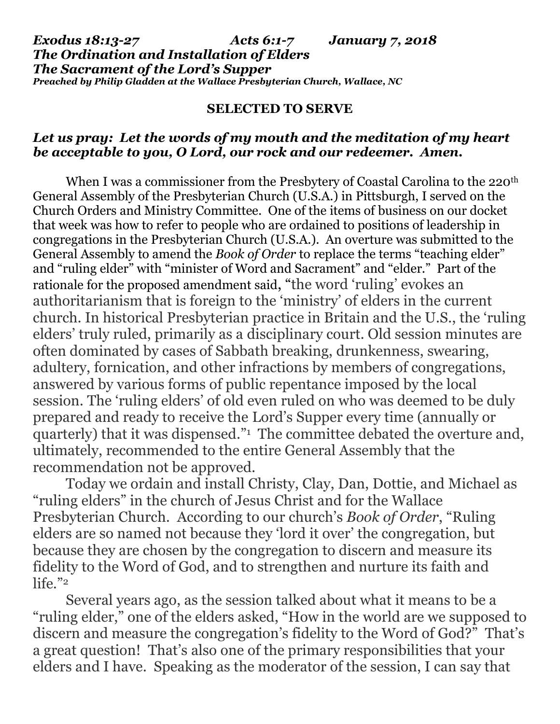## **SELECTED TO SERVE**

## *Let us pray: Let the words of my mouth and the meditation of my heart be acceptable to you, O Lord, our rock and our redeemer. Amen.*

When I was a commissioner from the Presbytery of Coastal Carolina to the 220<sup>th</sup> General Assembly of the Presbyterian Church (U.S.A.) in Pittsburgh, I served on the Church Orders and Ministry Committee. One of the items of business on our docket that week was how to refer to people who are ordained to positions of leadership in congregations in the Presbyterian Church (U.S.A.). An overture was submitted to the General Assembly to amend the *Book of Order* to replace the terms "teaching elder" and "ruling elder" with "minister of Word and Sacrament" and "elder." Part of the rationale for the proposed amendment said, "the word 'ruling' evokes an authoritarianism that is foreign to the 'ministry' of elders in the current church. In historical Presbyterian practice in Britain and the U.S., the 'ruling elders' truly ruled, primarily as a disciplinary court. Old session minutes are often dominated by cases of Sabbath breaking, drunkenness, swearing, adultery, fornication, and other infractions by members of congregations, answered by various forms of public repentance imposed by the local session. The 'ruling elders' of old even ruled on who was deemed to be duly prepared and ready to receive the Lord's Supper every time (annually or quarterly) that it was dispensed."<sup>1</sup> The committee debated the overture and, ultimately, recommended to the entire General Assembly that the recommendation not be approved.

Today we ordain and install Christy, Clay, Dan, Dottie, and Michael as "ruling elders" in the church of Jesus Christ and for the Wallace Presbyterian Church. According to our church's *Book of Order*, "Ruling elders are so named not because they 'lord it over' the congregation, but because they are chosen by the congregation to discern and measure its fidelity to the Word of God, and to strengthen and nurture its faith and life."<sup>2</sup>

Several years ago, as the session talked about what it means to be a "ruling elder," one of the elders asked, "How in the world are we supposed to discern and measure the congregation's fidelity to the Word of God?" That's a great question! That's also one of the primary responsibilities that your elders and I have. Speaking as the moderator of the session, I can say that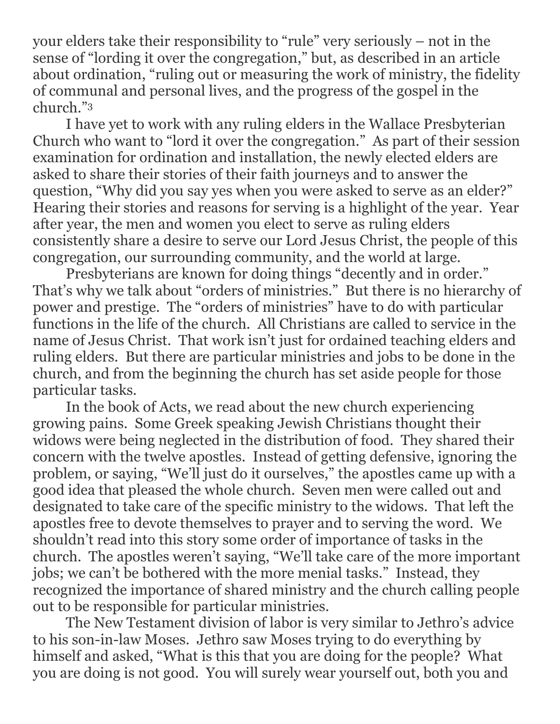your elders take their responsibility to "rule" very seriously – not in the sense of "lording it over the congregation," but, as described in an article about ordination, "ruling out or measuring the work of ministry, the fidelity of communal and personal lives, and the progress of the gospel in the church."<sup>3</sup>

I have yet to work with any ruling elders in the Wallace Presbyterian Church who want to "lord it over the congregation." As part of their session examination for ordination and installation, the newly elected elders are asked to share their stories of their faith journeys and to answer the question, "Why did you say yes when you were asked to serve as an elder?" Hearing their stories and reasons for serving is a highlight of the year. Year after year, the men and women you elect to serve as ruling elders consistently share a desire to serve our Lord Jesus Christ, the people of this congregation, our surrounding community, and the world at large.

Presbyterians are known for doing things "decently and in order." That's why we talk about "orders of ministries." But there is no hierarchy of power and prestige. The "orders of ministries" have to do with particular functions in the life of the church. All Christians are called to service in the name of Jesus Christ. That work isn't just for ordained teaching elders and ruling elders. But there are particular ministries and jobs to be done in the church, and from the beginning the church has set aside people for those particular tasks.

In the book of Acts, we read about the new church experiencing growing pains. Some Greek speaking Jewish Christians thought their widows were being neglected in the distribution of food. They shared their concern with the twelve apostles. Instead of getting defensive, ignoring the problem, or saying, "We'll just do it ourselves," the apostles came up with a good idea that pleased the whole church. Seven men were called out and designated to take care of the specific ministry to the widows. That left the apostles free to devote themselves to prayer and to serving the word. We shouldn't read into this story some order of importance of tasks in the church. The apostles weren't saying, "We'll take care of the more important jobs; we can't be bothered with the more menial tasks." Instead, they recognized the importance of shared ministry and the church calling people out to be responsible for particular ministries.

The New Testament division of labor is very similar to Jethro's advice to his son-in-law Moses. Jethro saw Moses trying to do everything by himself and asked, "What is this that you are doing for the people? What you are doing is not good. You will surely wear yourself out, both you and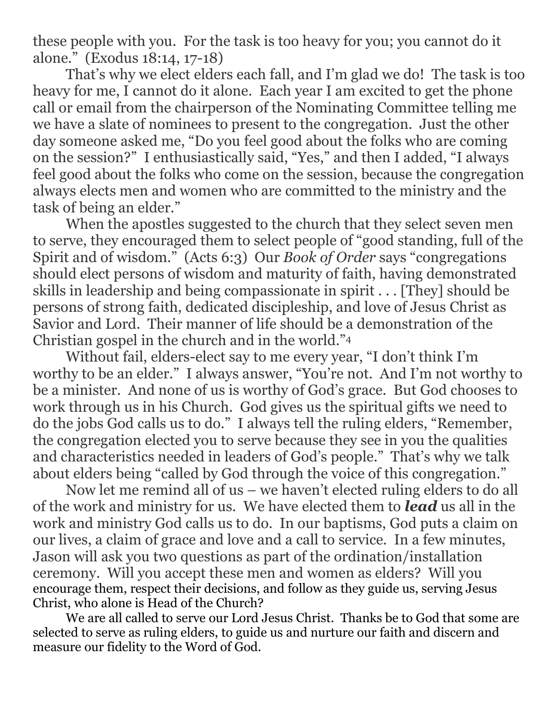these people with you. For the task is too heavy for you; you cannot do it alone." (Exodus 18:14, 17-18)

That's why we elect elders each fall, and I'm glad we do! The task is too heavy for me, I cannot do it alone. Each year I am excited to get the phone call or email from the chairperson of the Nominating Committee telling me we have a slate of nominees to present to the congregation. Just the other day someone asked me, "Do you feel good about the folks who are coming on the session?" I enthusiastically said, "Yes," and then I added, "I always feel good about the folks who come on the session, because the congregation always elects men and women who are committed to the ministry and the task of being an elder."

When the apostles suggested to the church that they select seven men to serve, they encouraged them to select people of "good standing, full of the Spirit and of wisdom." (Acts 6:3) Our *Book of Order* says "congregations should elect persons of wisdom and maturity of faith, having demonstrated skills in leadership and being compassionate in spirit . . . [They] should be persons of strong faith, dedicated discipleship, and love of Jesus Christ as Savior and Lord. Their manner of life should be a demonstration of the Christian gospel in the church and in the world."<sup>4</sup>

Without fail, elders-elect say to me every year, "I don't think I'm worthy to be an elder." I always answer, "You're not. And I'm not worthy to be a minister. And none of us is worthy of God's grace. But God chooses to work through us in his Church. God gives us the spiritual gifts we need to do the jobs God calls us to do." I always tell the ruling elders, "Remember, the congregation elected you to serve because they see in you the qualities and characteristics needed in leaders of God's people." That's why we talk about elders being "called by God through the voice of this congregation."

Now let me remind all of us – we haven't elected ruling elders to do all of the work and ministry for us. We have elected them to *lead* us all in the work and ministry God calls us to do. In our baptisms, God puts a claim on our lives, a claim of grace and love and a call to service. In a few minutes, Jason will ask you two questions as part of the ordination/installation ceremony. Will you accept these men and women as elders? Will you encourage them, respect their decisions, and follow as they guide us, serving Jesus Christ, who alone is Head of the Church?

We are all called to serve our Lord Jesus Christ. Thanks be to God that some are selected to serve as ruling elders, to guide us and nurture our faith and discern and measure our fidelity to the Word of God.